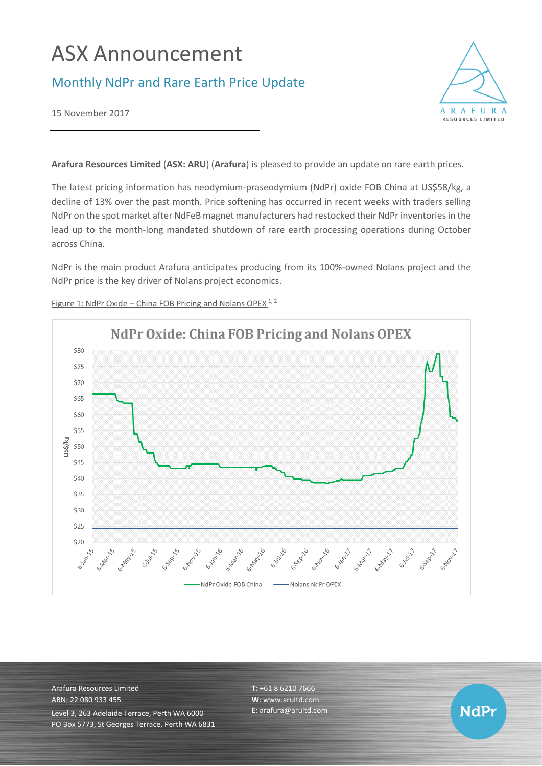# ASX Announcement

## Monthly NdPr and Rare Earth Price Update



**NdPr** 

15 November 2017

**Arafura Resources Limited** (**ASX: ARU**) (**Arafura**) is pleased to provide an update on rare earth prices.

The latest pricing information has neodymium-praseodymium (NdPr) oxide FOB China at US\$58/kg, a decline of 13% over the past month. Price softening has occurred in recent weeks with traders selling NdPr on the spot market after NdFeB magnet manufacturers had restocked their NdPr inventories in the lead up to the month-long mandated shutdown of rare earth processing operations during October across China.

NdPr is the main product Arafura anticipates producing from its 100%-owned Nolans project and the NdPr price is the key driver of Nolans project economics.



Figure 1: NdPr Oxide – China FOB Pricing and Nolans OPEX  $1, 2$ 

Arafura Resources Limited ABN: 22 080 933 455 Level 3, 263 Adelaide Terrace, Perth WA 6000 PO Box 5773, St Georges Terrace, Perth WA 6831 **T**: +61 8 6210 7666 **W**: [www.arultd.com](http://www.arultd.com/) **E**[: arafura@arultd.com](mailto:arafura@arultd.com)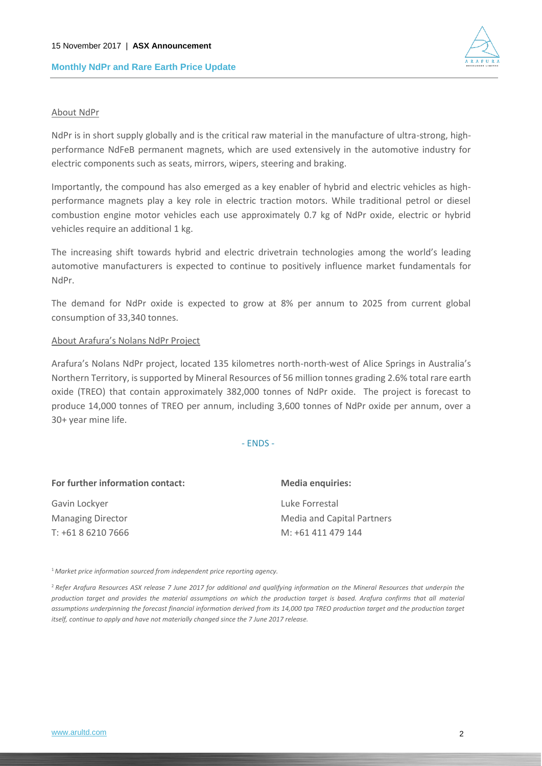

#### About NdPr

NdPr is in short supply globally and is the critical raw material in the manufacture of ultra-strong, highperformance NdFeB permanent magnets, which are used extensively in the automotive industry for electric components such as seats, mirrors, wipers, steering and braking.

Importantly, the compound has also emerged as a key enabler of hybrid and electric vehicles as highperformance magnets play a key role in electric traction motors. While traditional petrol or diesel combustion engine motor vehicles each use approximately 0.7 kg of NdPr oxide, electric or hybrid vehicles require an additional 1 kg.

The increasing shift towards hybrid and electric drivetrain technologies among the world's leading automotive manufacturers is expected to continue to positively influence market fundamentals for NdPr.

The demand for NdPr oxide is expected to grow at 8% per annum to 2025 from current global consumption of 33,340 tonnes.

#### About Arafura's Nolans NdPr Project

Arafura's Nolans NdPr project, located 135 kilometres north-north-west of Alice Springs in Australia's Northern Territory, is supported by Mineral Resources of 56 million tonnes grading 2.6% total rare earth oxide (TREO) that contain approximately 382,000 tonnes of NdPr oxide. The project is forecast to produce 14,000 tonnes of TREO per annum, including 3,600 tonnes of NdPr oxide per annum, over a 30+ year mine life.

- ENDS -

| For further information contact: | <b>Media enquiries:</b>    |
|----------------------------------|----------------------------|
| Gavin Lockyer                    | Luke Forrestal             |
| <b>Managing Director</b>         | Media and Capital Partners |
| T: +61 8 6210 7666               | M: +61 411 479 144         |

<sup>1</sup>*Market price information sourced from independent price reporting agency.*

<sup>2</sup>*Refer Arafura Resources ASX release 7 June 2017 for additional and qualifying information on the Mineral Resources that underpin the production target and provides the material assumptions on which the production target is based. Arafura confirms that all material*  assumptions underpinning the forecast financial information derived from its 14,000 tpa TREO production target and the production target *itself, continue to apply and have not materially changed since the 7 June 2017 release.*